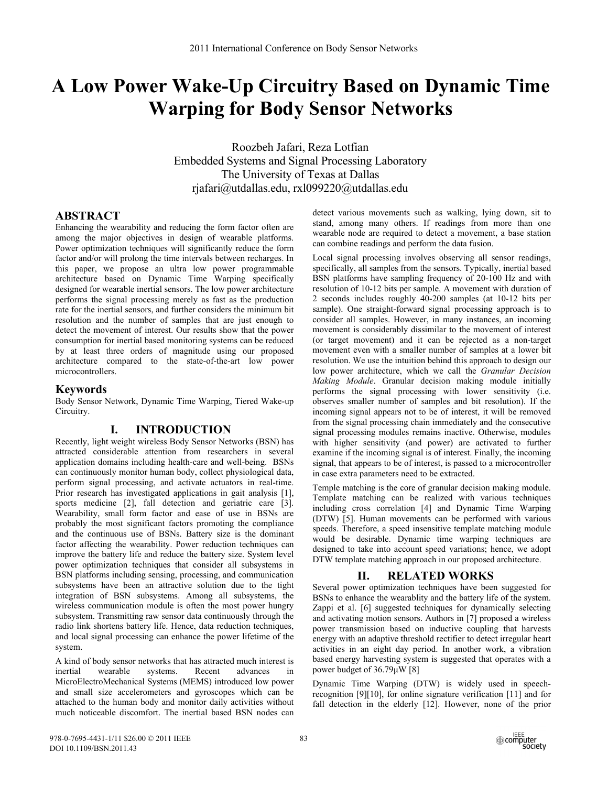# **A Low Power Wake-Up Circuitry Based on Dynamic Time Warping for Body Sensor Networks**

Roozbeh Jafari, Reza Lotfian Embedded Systems and Signal Processing Laboratory The University of Texas at Dallas rjafari@utdallas.edu, rxl099220@utdallas.edu

## **ABSTRACT**

Enhancing the wearability and reducing the form factor often are among the major objectives in design of wearable platforms. Power optimization techniques will significantly reduce the form factor and/or will prolong the time intervals between recharges. In this paper, we propose an ultra low power programmable architecture based on Dynamic Time Warping specifically designed for wearable inertial sensors. The low power architecture performs the signal processing merely as fast as the production rate for the inertial sensors, and further considers the minimum bit resolution and the number of samples that are just enough to detect the movement of interest. Our results show that the power consumption for inertial based monitoring systems can be reduced by at least three orders of magnitude using our proposed architecture compared to the state-of-the-art low power microcontrollers.

## **Keywords**

Body Sensor Network, Dynamic Time Warping, Tiered Wake-up Circuitry.

### **I. INTRODUCTION**

Recently, light weight wireless Body Sensor Networks (BSN) has attracted considerable attention from researchers in several application domains including health-care and well-being. BSNs can continuously monitor human body, collect physiological data, perform signal processing, and activate actuators in real-time. Prior research has investigated applications in gait analysis [1], sports medicine [2], fall detection and geriatric care [3]. Wearability, small form factor and ease of use in BSNs are probably the most significant factors promoting the compliance and the continuous use of BSNs. Battery size is the dominant factor affecting the wearability. Power reduction techniques can improve the battery life and reduce the battery size. System level power optimization techniques that consider all subsystems in BSN platforms including sensing, processing, and communication subsystems have been an attractive solution due to the tight integration of BSN subsystems. Among all subsystems, the wireless communication module is often the most power hungry subsystem. Transmitting raw sensor data continuously through the radio link shortens battery life. Hence, data reduction techniques, and local signal processing can enhance the power lifetime of the system.

A kind of body sensor networks that has attracted much interest is inertial wearable systems. Recent advances in MicroElectroMechanical Systems (MEMS) introduced low power and small size accelerometers and gyroscopes which can be attached to the human body and monitor daily activities without much noticeable discomfort. The inertial based BSN nodes can detect various movements such as walking, lying down, sit to stand, among many others. If readings from more than one wearable node are required to detect a movement, a base station can combine readings and perform the data fusion.

Local signal processing involves observing all sensor readings, specifically, all samples from the sensors. Typically, inertial based BSN platforms have sampling frequency of 20-100 Hz and with resolution of 10-12 bits per sample. A movement with duration of 2 seconds includes roughly 40-200 samples (at 10-12 bits per sample). One straight-forward signal processing approach is to consider all samples. However, in many instances, an incoming movement is considerably dissimilar to the movement of interest (or target movement) and it can be rejected as a non-target movement even with a smaller number of samples at a lower bit resolution. We use the intuition behind this approach to design our low power architecture, which we call the *Granular Decision Making Module*. Granular decision making module initially performs the signal processing with lower sensitivity (i.e. observes smaller number of samples and bit resolution). If the incoming signal appears not to be of interest, it will be removed from the signal processing chain immediately and the consecutive signal processing modules remains inactive. Otherwise, modules with higher sensitivity (and power) are activated to further examine if the incoming signal is of interest. Finally, the incoming signal, that appears to be of interest, is passed to a microcontroller in case extra parameters need to be extracted.

Temple matching is the core of granular decision making module. Template matching can be realized with various techniques including cross correlation [4] and Dynamic Time Warping (DTW) [5]. Human movements can be performed with various speeds. Therefore, a speed insensitive template matching module would be desirable. Dynamic time warping techniques are designed to take into account speed variations; hence, we adopt DTW template matching approach in our proposed architecture.

## **II. RELATED WORKS**

Several power optimization techniques have been suggested for BSNs to enhance the wearablity and the battery life of the system. Zappi et al. [6] suggested techniques for dynamically selecting and activating motion sensors. Authors in [7] proposed a wireless power transmission based on inductive coupling that harvests energy with an adaptive threshold rectifier to detect irregular heart activities in an eight day period. In another work, a vibration based energy harvesting system is suggested that operates with a power budget of 36.79μW [8]

Dynamic Time Warping (DTW) is widely used in speechrecognition [9][10], for online signature verification [11] and for fall detection in the elderly [12]. However, none of the prior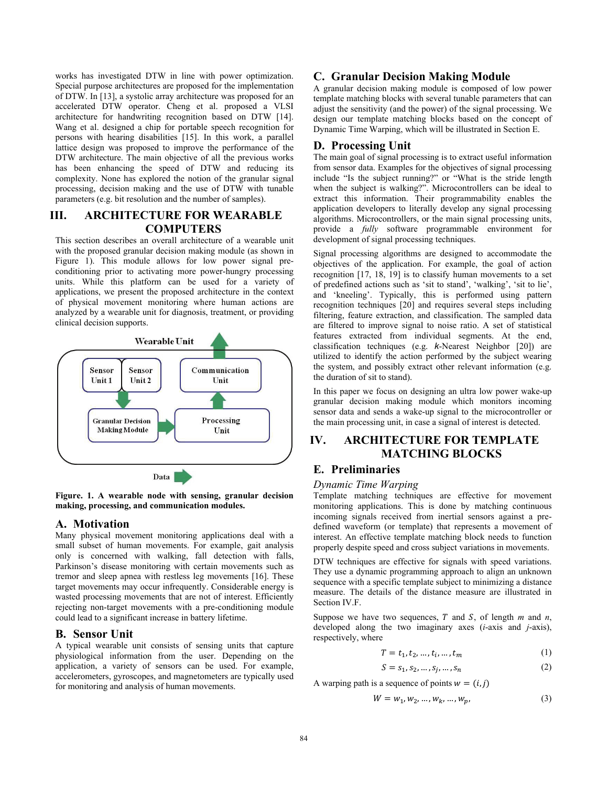works has investigated DTW in line with power optimization. Special purpose architectures are proposed for the implementation of DTW. In [13], a systolic array architecture was proposed for an accelerated DTW operator. Cheng et al. proposed a VLSI architecture for handwriting recognition based on DTW [14]. Wang et al. designed a chip for portable speech recognition for persons with hearing disabilities [15]. In this work, a parallel lattice design was proposed to improve the performance of the DTW architecture. The main objective of all the previous works has been enhancing the speed of DTW and reducing its complexity. None has explored the notion of the granular signal processing, decision making and the use of DTW with tunable parameters (e.g. bit resolution and the number of samples).

## **III. ARCHITECTURE FOR WEARABLE COMPUTERS**

This section describes an overall architecture of a wearable unit with the proposed granular decision making module (as shown in Figure 1). This module allows for low power signal preconditioning prior to activating more power-hungry processing units. While this platform can be used for a variety of applications, we present the proposed architecture in the context of physical movement monitoring where human actions are analyzed by a wearable unit for diagnosis, treatment, or providing clinical decision supports.



**Figure. 1. A wearable node with sensing, granular decision making, processing, and communication modules.** 

### **A. Motivation**

Many physical movement monitoring applications deal with a small subset of human movements. For example, gait analysis only is concerned with walking, fall detection with falls, Parkinson's disease monitoring with certain movements such as tremor and sleep apnea with restless leg movements [16]. These target movements may occur infrequently. Considerable energy is wasted processing movements that are not of interest. Efficiently rejecting non-target movements with a pre-conditioning module could lead to a significant increase in battery lifetime.

### **B. Sensor Unit**

A typical wearable unit consists of sensing units that capture physiological information from the user. Depending on the application, a variety of sensors can be used. For example, accelerometers, gyroscopes, and magnetometers are typically used for monitoring and analysis of human movements.

## **C. Granular Decision Making Module**

A granular decision making module is composed of low power template matching blocks with several tunable parameters that can adjust the sensitivity (and the power) of the signal processing. We design our template matching blocks based on the concept of Dynamic Time Warping, which will be illustrated in Section E.

## **D. Processing Unit**

The main goal of signal processing is to extract useful information from sensor data. Examples for the objectives of signal processing include "Is the subject running?" or "What is the stride length when the subject is walking?". Microcontrollers can be ideal to extract this information. Their programmability enables the application developers to literally develop any signal processing algorithms. Microcontrollers, or the main signal processing units, provide a *fully* software programmable environment for development of signal processing techniques.

Signal processing algorithms are designed to accommodate the objectives of the application. For example, the goal of action recognition [17, 18, 19] is to classify human movements to a set of predefined actions such as 'sit to stand', 'walking', 'sit to lie', and 'kneeling'. Typically, this is performed using pattern recognition techniques [20] and requires several steps including filtering, feature extraction, and classification. The sampled data are filtered to improve signal to noise ratio. A set of statistical features extracted from individual segments. At the end, classification techniques (e.g. *k*-Nearest Neighbor [20]) are utilized to identify the action performed by the subject wearing the system, and possibly extract other relevant information (e.g. the duration of sit to stand).

In this paper we focus on designing an ultra low power wake-up granular decision making module which monitors incoming sensor data and sends a wake-up signal to the microcontroller or the main processing unit, in case a signal of interest is detected.

## **IV. ARCHITECTURE FOR TEMPLATE MATCHING BLOCKS**

## **E. Preliminaries**

### *Dynamic Time Warping*

Template matching techniques are effective for movement monitoring applications. This is done by matching continuous incoming signals received from inertial sensors against a predefined waveform (or template) that represents a movement of interest. An effective template matching block needs to function properly despite speed and cross subject variations in movements.

DTW techniques are effective for signals with speed variations. They use a dynamic programming approach to align an unknown sequence with a specific template subject to minimizing a distance measure. The details of the distance measure are illustrated in Section IV.F.

Suppose we have two sequences,  $T$  and  $S$ , of length  $m$  and  $n$ , developed along the two imaginary axes (*i*-axis and *j*-axis), respectively, where

$$
T = t_1, t_2, \dots, t_i, \dots, t_m
$$
 (1)

$$
S = s_1, s_2, \dots, s_j, \dots, s_n \tag{2}
$$

A warping path is a sequence of points  $w = (i, j)$ 

$$
W = w_1, w_2, ..., w_k, ..., w_p,
$$
 (3)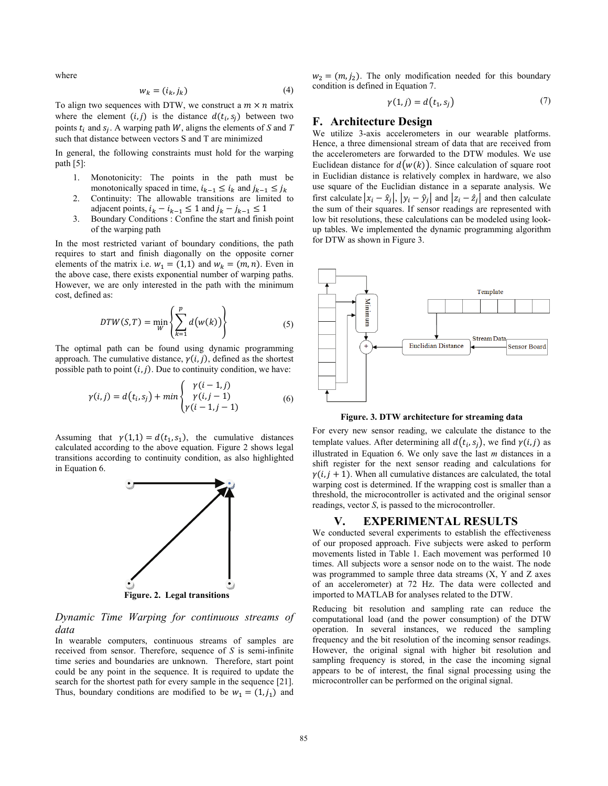where

$$
w_k = (i_k, j_k) \tag{4}
$$

To align two sequences with DTW, we construct a  $m \times n$  matrix where the element  $(i, j)$  is the distance  $d(t_i, s_j)$  between two points  $t_i$  and  $s_i$ . A warping path  $W$ , aligns the elements of *S* and *T* such that distance between vectors S and T are minimized

In general, the following constraints must hold for the warping path  $[5]$ :

- 1. Monotonicity: The points in the path must be monotonically spaced in time,  $i_{k-1} \le i_k$  and  $j_{k-1} \le j_k$
- 2. Continuity: The allowable transitions are limited to adjacent points,  $i_k - i_{k-1} \leq 1$  and  $j_k - j_{k-1} \leq 1$
- 3. Boundary Conditions : Confine the start and finish point of the warping path

In the most restricted variant of boundary conditions, the path requires to start and finish diagonally on the opposite corner elements of the matrix i.e.  $w_1 = (1,1)$  and  $w_k = (m,n)$ . Even in the above case, there exists exponential number of warping paths. However, we are only interested in the path with the minimum cost, defined as:

$$
DTW(S,T) = \min_{W} \left\{ \sum_{k=1}^{p} d(w(k)) \right\} \tag{5}
$$

The optimal path can be found using dynamic programming approach. The cumulative distance,  $\gamma(i, j)$ , defined as the shortest possible path to point  $(i, j)$ . Due to continuity condition, we have:

$$
\gamma(i,j) = d(t_i, s_j) + min \begin{cases} \gamma(i-1,j) \\ \gamma(i,j-1) \\ \gamma(i-1,j-1) \end{cases}
$$
 (6)

Assuming that  $\gamma(1,1) = d(t_1, s_1)$ , the cumulative distances calculated according to the above equation. Figure 2 shows legal transitions according to continuity condition, as also highlighted in Equation 6.



*Dynamic Time Warping for continuous streams of data* 

In wearable computers, continuous streams of samples are received from sensor. Therefore, sequence of *S* is semi-infinite time series and boundaries are unknown. Therefore, start point could be any point in the sequence. It is required to update the search for the shortest path for every sample in the sequence [21]. Thus, boundary conditions are modified to be  $w_1 = (1, j_1)$  and

 $w_2 = (m, j_2)$ . The only modification needed for this boundary condition is defined in Equation 7.

$$
\gamma(1,j) = d(t_1, s_j) \tag{7}
$$

#### **F. Architecture Design**

We utilize 3-axis accelerometers in our wearable platforms. Hence, a three dimensional stream of data that are received from the accelerometers are forwarded to the DTW modules. We use Euclidean distance for  $d(w(k))$ . Since calculation of square root in Euclidian distance is relatively complex in hardware, we also use square of the Euclidian distance in a separate analysis. We first calculate  $|x_i - \hat{x}_j|$ ,  $|y_i - \hat{y}_j|$  and  $|z_i - \hat{z}_j|$  and then calculate the sum of their squares. If sensor readings are represented with low bit resolutions, these calculations can be modeled using lookup tables. We implemented the dynamic programming algorithm for DTW as shown in Figure 3.



**Figure. 3. DTW architecture for streaming data** 

For every new sensor reading, we calculate the distance to the template values. After determining all  $d(t_i, s_i)$ , we find  $\gamma(i, j)$  as illustrated in Equation 6. We only save the last *m* distances in a shift register for the next sensor reading and calculations for  $\gamma(i, j + 1)$ . When all cumulative distances are calculated, the total warping cost is determined. If the wrapping cost is smaller than a threshold, the microcontroller is activated and the original sensor readings, vector *S*, is passed to the microcontroller.

#### **V. EXPERIMENTAL RESULTS**

We conducted several experiments to establish the effectiveness of our proposed approach. Five subjects were asked to perform movements listed in Table 1. Each movement was performed 10 times. All subjects wore a sensor node on to the waist. The node was programmed to sample three data streams (X, Y and Z axes of an accelerometer) at 72 Hz. The data were collected and imported to MATLAB for analyses related to the DTW.

Reducing bit resolution and sampling rate can reduce the computational load (and the power consumption) of the DTW operation. In several instances, we reduced the sampling frequency and the bit resolution of the incoming sensor readings. However, the original signal with higher bit resolution and sampling frequency is stored, in the case the incoming signal appears to be of interest, the final signal processing using the microcontroller can be performed on the original signal.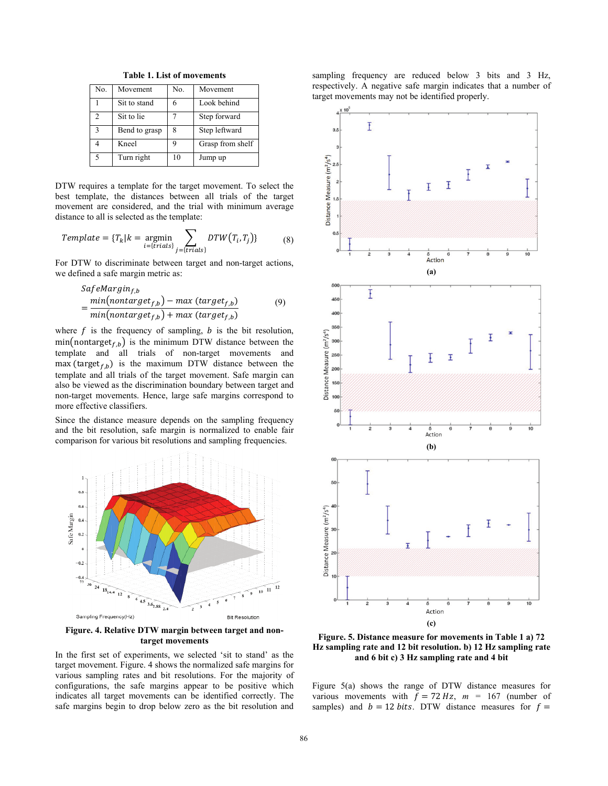**Table 1. List of movements** 

| No. | Movement      | No. | Movement         |
|-----|---------------|-----|------------------|
|     | Sit to stand  |     | Look behind      |
| 2   | Sit to lie    |     | Step forward     |
| ٩   | Bend to grasp | 8   | Step leftward    |
|     | Kneel         |     | Grasp from shelf |
| 5   | Turn right    | 10  | Jump up          |

DTW requires a template for the target movement. To select the best template, the distances between all trials of the target movement are considered, and the trial with minimum average distance to all is selected as the template:

$$
Template = \{T_k | k = \underset{i = \{trials\}}{\text{argmin}} \sum_{j = \{trials\}} DTW(T_i, T_j)\} \tag{8}
$$

For DTW to discriminate between target and non-target actions, we defined a safe margin metric as:

$$
SafeMargin_{f,b}
$$
  
= 
$$
\frac{min(nontarget_{f,b}) - max(target_{f,b})}{min(nontarget_{f,b}) + max(target_{f,b})}
$$
 (9)

where  $f$  is the frequency of sampling,  $b$  is the bit resolution,  $min(nontarget_{f,b})$  is the minimum DTW distance between the template and all trials of non-target movements and max (target<sub>f,b</sub>) is the maximum DTW distance between the template and all trials of the target movement. Safe margin can also be viewed as the discrimination boundary between target and non-target movements. Hence, large safe margins correspond to more effective classifiers.

Since the distance measure depends on the sampling frequency and the bit resolution, safe margin is normalized to enable fair comparison for various bit resolutions and sampling frequencies.



**Figure. 4. Relative DTW margin between target and nontarget movements** 

In the first set of experiments, we selected 'sit to stand' as the target movement. Figure. 4 shows the normalized safe margins for various sampling rates and bit resolutions. For the majority of configurations, the safe margins appear to be positive which indicates all target movements can be identified correctly. The safe margins begin to drop below zero as the bit resolution and

sampling frequency are reduced below 3 bits and 3 Hz, respectively. A negative safe margin indicates that a number of target movements may not be identified properly.



**Figure. 5. Distance measure for movements in Table 1 a) 72 Hz sampling rate and 12 bit resolution. b) 12 Hz sampling rate and 6 bit c) 3 Hz sampling rate and 4 bit** 

Figure 5(a) shows the range of DTW distance measures for various movements with  $f = 72 Hz$ ,  $m = 167$  (number of samples) and  $b = 12 \text{ bits}$ . DTW distance measures for  $f =$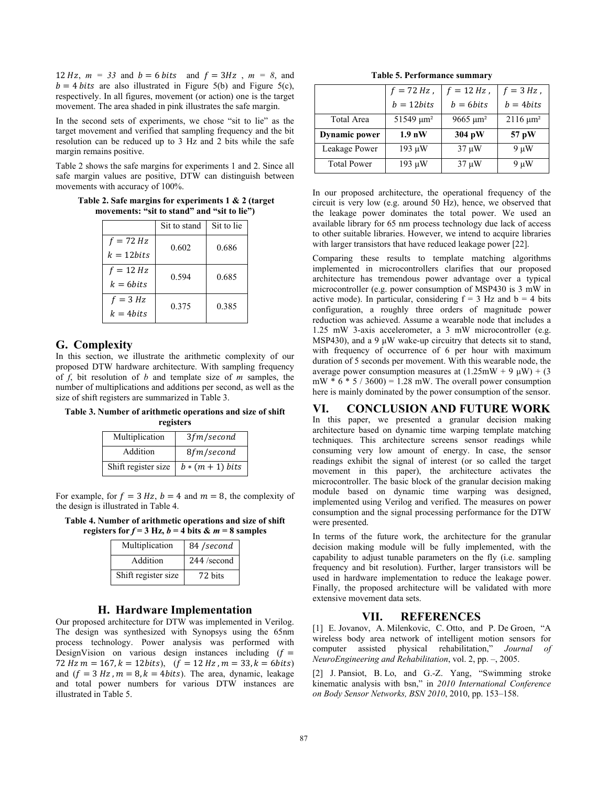12 Hz,  $m = 33$  and  $b = 6$  bits and  $f = 3$ Hz,  $m = 8$ , and  $b = 4 \text{ bits}$  are also illustrated in Figure 5(b) and Figure 5(c), respectively. In all figures, movement (or action) one is the target movement. The area shaded in pink illustrates the safe margin.

In the second sets of experiments, we chose "sit to lie" as the target movement and verified that sampling frequency and the bit resolution can be reduced up to 3 Hz and 2 bits while the safe margin remains positive.

Table 2 shows the safe margins for experiments 1 and 2. Since all safe margin values are positive, DTW can distinguish between movements with accuracy of 100%.

Table 2. Safe margins for experiments 1 & 2 (target movements: "sit to stand" and "sit to lie")

|               | Sit to stand | Sit to lie |  |
|---------------|--------------|------------|--|
| $f = 72 Hz$   | 0.602        | 0.686      |  |
| $k = 12 bits$ |              |            |  |
| $f = 12 Hz$   | 0.594        | 0.685      |  |
| $k = 6bits$   |              |            |  |
| $f = 3 Hz$    | 0.375        | 0.385      |  |
| $k = 4bits$   |              |            |  |

### G. Complexity

In this section, we illustrate the arithmetic complexity of our proposed DTW hardware architecture. With sampling frequency of  $f$ , bit resolution of  $b$  and template size of  $m$  samples, the number of multiplications and additions per second, as well as the size of shift registers are summarized in Table 3.

Table 3. Number of arithmetic operations and size of shift registers

| Multiplication      | 3fm/second     |
|---------------------|----------------|
| Addition            | 8fm/second     |
| Shift register size | $b*(m+1)$ bits |

For example, for  $f = 3 Hz$ ,  $b = 4$  and  $m = 8$ , the complexity of the design is illustrated in Table 4.

Table 4. Number of arithmetic operations and size of shift registers for  $f = 3$  Hz,  $b = 4$  bits &  $m = 8$  samples

| Multiplication      | 84 /second  |  |
|---------------------|-------------|--|
| Addition            | 244 /second |  |
| Shift register size | 72 bits     |  |

#### H. Hardware Implementation

Our proposed architecture for DTW was implemented in Verilog. The design was synthesized with Synopsys using the 65nm process technology. Power analysis was performed with DesignVision on various design instances including  $(f =$ 72 Hz  $m = 167$ ,  $k = 12 bits$ ,  $(f = 12 Hz$ ,  $m = 33$ ,  $k = 6 bits$ ) and  $(f = 3 Hz, m = 8, k = 4 bits)$ . The area, dynamic, leakage and total power numbers for various DTW instances are illustrated in Table 5.

Table 5. Performance summary

|                      | $f = 72 Hz$ ,   | $f = 12 Hz$ ,             | $f = 3 Hz$ ,     |
|----------------------|-----------------|---------------------------|------------------|
|                      | $b = 12bits$    | $b = 6bits$               | $b = 4bits$      |
| <b>Total Area</b>    | $51549 \mu m^2$ | 9665 $\mu$ m <sup>2</sup> | $2116 \ \mu m^2$ |
| <b>Dynamic power</b> | $1.9n$ W        | 304 pW                    | 57 pW            |
| Leakage Power        | $193 \mu W$     | $37 \mu W$                | 9 uW             |
| <b>Total Power</b>   | 193 µW          | $37 \mu W$                | $9 \mu W$        |

In our proposed architecture, the operational frequency of the circuit is very low (e.g. around 50 Hz), hence, we observed that the leakage power dominates the total power. We used an available library for 65 nm process technology due lack of access to other suitable libraries. However, we intend to acquire libraries with larger transistors that have reduced leakage power [22].

Comparing these results to template matching algorithms implemented in microcontrollers clarifies that our proposed architecture has tremendous power advantage over a typical microcontroller (e.g. power consumption of MSP430 is 3 mW in active mode). In particular, considering  $f = 3$  Hz and  $b = 4$  bits configuration, a roughly three orders of magnitude power reduction was achieved. Assume a wearable node that includes a 1.25 mW 3-axis accelerometer, a 3 mW microcontroller (e.g. MSP430), and a 9 µW wake-up circuitry that detects sit to stand, with frequency of occurrence of 6 per hour with maximum duration of 5 seconds per movement. With this wearable node, the average power consumption measures at  $(1.25 \text{mW} + 9 \text{ }\mu\text{W}) + (3$ mW  $* 6 * 5 / 3600$  = 1.28 mW. The overall power consumption here is mainly dominated by the power consumption of the sensor.

#### **CONCLUSION AND FUTURE WORK** VI.

In this paper, we presented a granular decision making architecture based on dynamic time warping template matching techniques. This architecture screens sensor readings while consuming very low amount of energy. In case, the sensor readings exhibit the signal of interest (or so called the target movement in this paper), the architecture activates the microcontroller. The basic block of the granular decision making module based on dynamic time warping was designed, implemented using Verilog and verified. The measures on power consumption and the signal processing performance for the DTW were presented.

In terms of the future work, the architecture for the granular decision making module will be fully implemented, with the capability to adjust tunable parameters on the fly (i.e. sampling frequency and bit resolution). Further, larger transistors will be used in hardware implementation to reduce the leakage power. Finally, the proposed architecture will be validated with more extensive movement data sets.

#### **REFERENCES** VII.

[1] E. Jovanov, A. Milenkovic, C. Otto, and P. De Groen, "A wireless body area network of intelligent motion sensors for computer assisted physical rehabilitation," Journal of NeuroEngineering and Rehabilitation, vol. 2, pp. -, 2005.

[2] J. Pansiot, B. Lo, and G.-Z. Yang, "Swimming stroke kinematic analysis with bsn," in 2010 International Conference on Body Sensor Networks, BSN 2010, 2010, pp. 153-158.